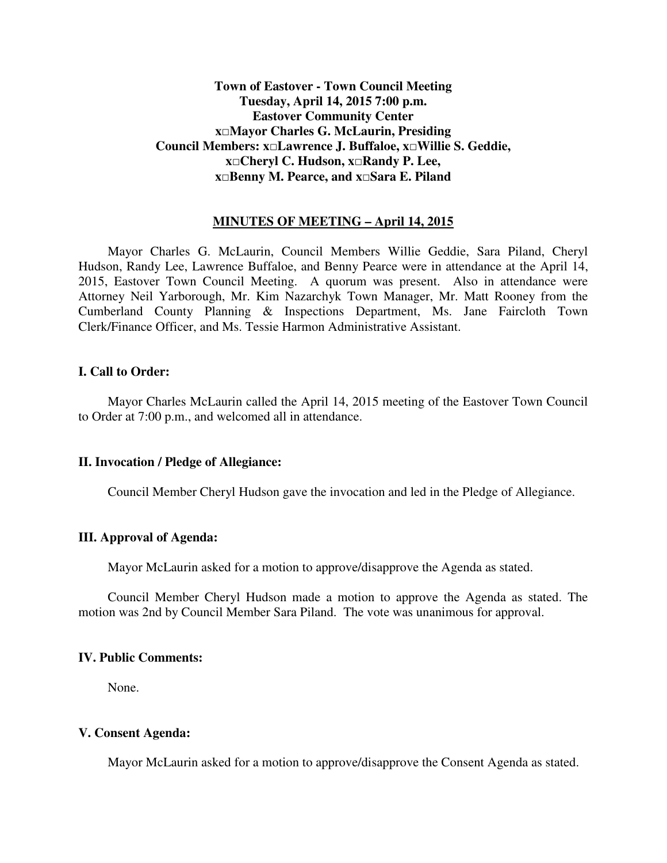# **Town of Eastover - Town Council Meeting Tuesday, April 14, 2015 7:00 p.m. Eastover Community Center x□Mayor Charles G. McLaurin, Presiding Council Members: x□Lawrence J. Buffaloe, x□Willie S. Geddie, x□Cheryl C. Hudson, x□Randy P. Lee, x□Benny M. Pearce, and x□Sara E. Piland**

## **MINUTES OF MEETING – April 14, 2015**

 Mayor Charles G. McLaurin, Council Members Willie Geddie, Sara Piland, Cheryl Hudson, Randy Lee, Lawrence Buffaloe, and Benny Pearce were in attendance at the April 14, 2015, Eastover Town Council Meeting. A quorum was present. Also in attendance were Attorney Neil Yarborough, Mr. Kim Nazarchyk Town Manager, Mr. Matt Rooney from the Cumberland County Planning & Inspections Department, Ms. Jane Faircloth Town Clerk/Finance Officer, and Ms. Tessie Harmon Administrative Assistant.

## **I. Call to Order:**

 Mayor Charles McLaurin called the April 14, 2015 meeting of the Eastover Town Council to Order at 7:00 p.m., and welcomed all in attendance.

### **II. Invocation / Pledge of Allegiance:**

Council Member Cheryl Hudson gave the invocation and led in the Pledge of Allegiance.

## **III. Approval of Agenda:**

Mayor McLaurin asked for a motion to approve/disapprove the Agenda as stated.

 Council Member Cheryl Hudson made a motion to approve the Agenda as stated. The motion was 2nd by Council Member Sara Piland. The vote was unanimous for approval.

## **IV. Public Comments:**

None.

# **V. Consent Agenda:**

Mayor McLaurin asked for a motion to approve/disapprove the Consent Agenda as stated.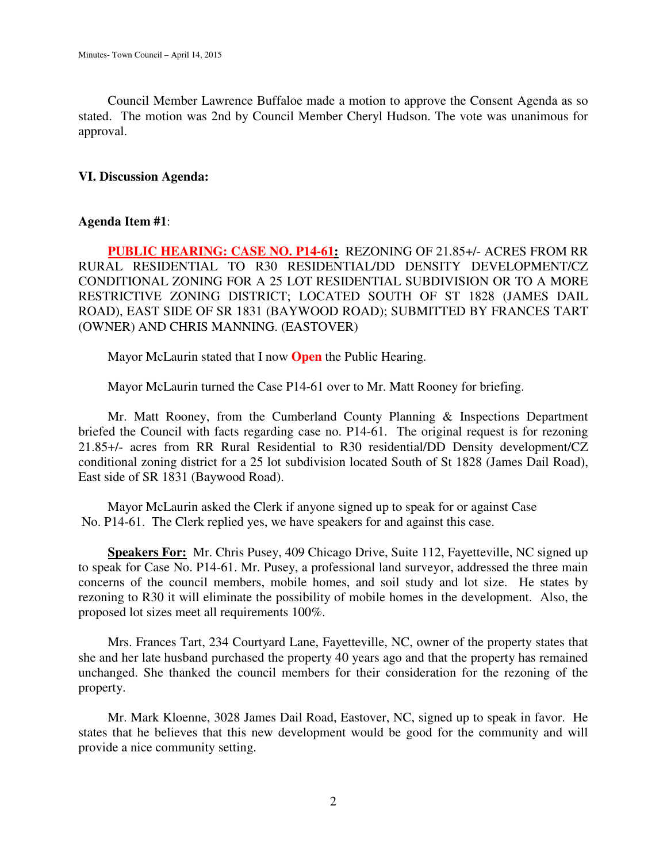Council Member Lawrence Buffaloe made a motion to approve the Consent Agenda as so stated. The motion was 2nd by Council Member Cheryl Hudson. The vote was unanimous for approval.

## **VI. Discussion Agenda:**

## **Agenda Item #1**:

**PUBLIC HEARING: CASE NO. P14-61:** REZONING OF 21.85+/- ACRES FROM RR RURAL RESIDENTIAL TO R30 RESIDENTIAL/DD DENSITY DEVELOPMENT/CZ CONDITIONAL ZONING FOR A 25 LOT RESIDENTIAL SUBDIVISION OR TO A MORE RESTRICTIVE ZONING DISTRICT; LOCATED SOUTH OF ST 1828 (JAMES DAIL ROAD), EAST SIDE OF SR 1831 (BAYWOOD ROAD); SUBMITTED BY FRANCES TART (OWNER) AND CHRIS MANNING. (EASTOVER)

Mayor McLaurin stated that I now **Open** the Public Hearing.

Mayor McLaurin turned the Case P14-61 over to Mr. Matt Rooney for briefing.

 Mr. Matt Rooney, from the Cumberland County Planning & Inspections Department briefed the Council with facts regarding case no. P14-61. The original request is for rezoning 21.85+/- acres from RR Rural Residential to R30 residential/DD Density development/CZ conditional zoning district for a 25 lot subdivision located South of St 1828 (James Dail Road), East side of SR 1831 (Baywood Road).

 Mayor McLaurin asked the Clerk if anyone signed up to speak for or against Case No. P14-61. The Clerk replied yes, we have speakers for and against this case.

**Speakers For:** Mr. Chris Pusey, 409 Chicago Drive, Suite 112, Fayetteville, NC signed up to speak for Case No. P14-61. Mr. Pusey, a professional land surveyor, addressed the three main concerns of the council members, mobile homes, and soil study and lot size. He states by rezoning to R30 it will eliminate the possibility of mobile homes in the development. Also, the proposed lot sizes meet all requirements 100%.

 Mrs. Frances Tart, 234 Courtyard Lane, Fayetteville, NC, owner of the property states that she and her late husband purchased the property 40 years ago and that the property has remained unchanged. She thanked the council members for their consideration for the rezoning of the property.

 Mr. Mark Kloenne, 3028 James Dail Road, Eastover, NC, signed up to speak in favor. He states that he believes that this new development would be good for the community and will provide a nice community setting.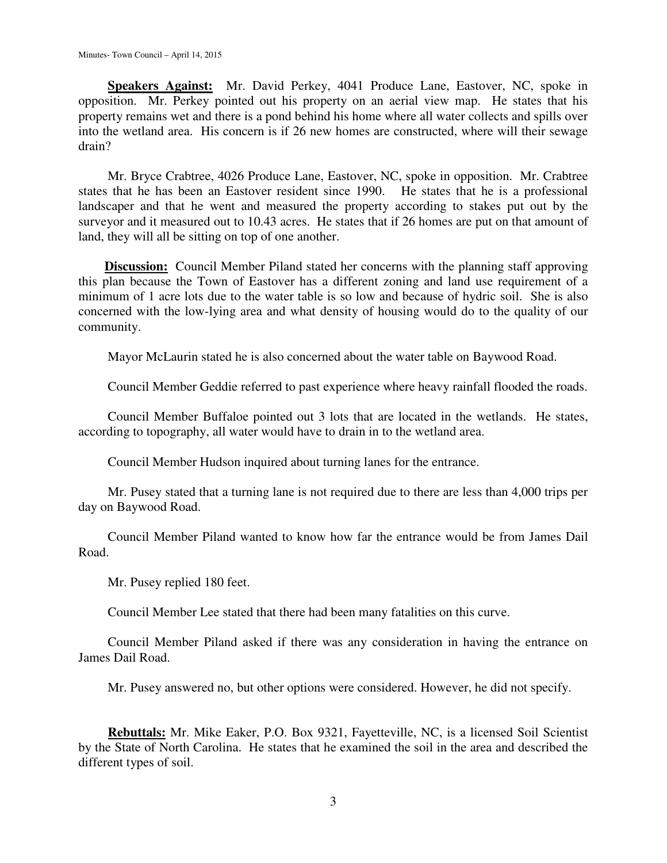**Speakers Against:** Mr. David Perkey, 4041 Produce Lane, Eastover, NC, spoke in opposition. Mr. Perkey pointed out his property on an aerial view map. He states that his property remains wet and there is a pond behind his home where all water collects and spills over into the wetland area. His concern is if 26 new homes are constructed, where will their sewage drain?

 Mr. Bryce Crabtree, 4026 Produce Lane, Eastover, NC, spoke in opposition. Mr. Crabtree states that he has been an Eastover resident since 1990. He states that he is a professional landscaper and that he went and measured the property according to stakes put out by the surveyor and it measured out to 10.43 acres. He states that if 26 homes are put on that amount of land, they will all be sitting on top of one another.

**Discussion:** Council Member Piland stated her concerns with the planning staff approving this plan because the Town of Eastover has a different zoning and land use requirement of a minimum of 1 acre lots due to the water table is so low and because of hydric soil. She is also concerned with the low-lying area and what density of housing would do to the quality of our community.

Mayor McLaurin stated he is also concerned about the water table on Baywood Road.

Council Member Geddie referred to past experience where heavy rainfall flooded the roads.

 Council Member Buffaloe pointed out 3 lots that are located in the wetlands. He states, according to topography, all water would have to drain in to the wetland area.

Council Member Hudson inquired about turning lanes for the entrance.

 Mr. Pusey stated that a turning lane is not required due to there are less than 4,000 trips per day on Baywood Road.

 Council Member Piland wanted to know how far the entrance would be from James Dail Road.

Mr. Pusey replied 180 feet.

Council Member Lee stated that there had been many fatalities on this curve.

 Council Member Piland asked if there was any consideration in having the entrance on James Dail Road.

Mr. Pusey answered no, but other options were considered. However, he did not specify.

 **Rebuttals:** Mr. Mike Eaker, P.O. Box 9321, Fayetteville, NC, is a licensed Soil Scientist by the State of North Carolina. He states that he examined the soil in the area and described the different types of soil.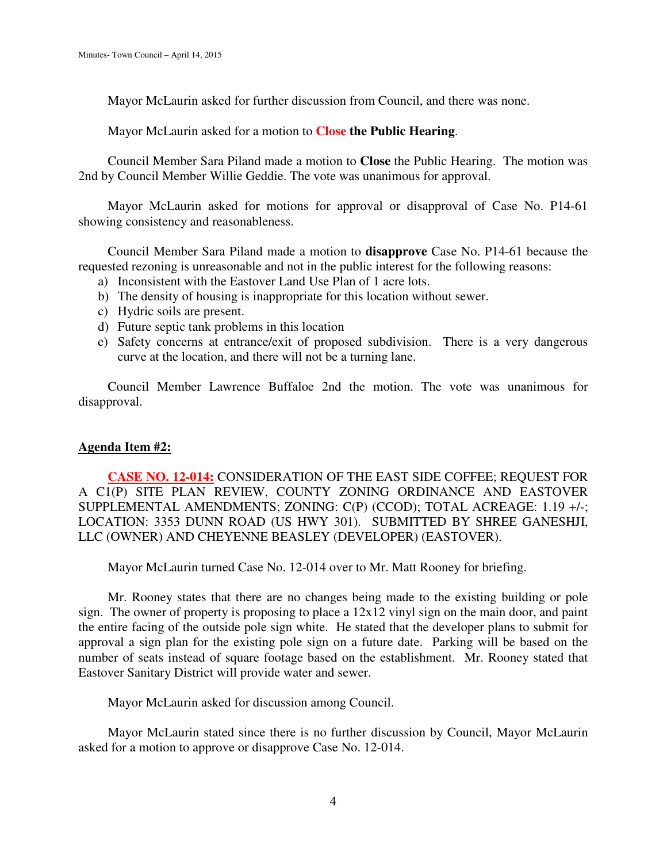Mayor McLaurin asked for further discussion from Council, and there was none.

Mayor McLaurin asked for a motion to **Close the Public Hearing**.

 Council Member Sara Piland made a motion to **Close** the Public Hearing. The motion was 2nd by Council Member Willie Geddie. The vote was unanimous for approval.

 Mayor McLaurin asked for motions for approval or disapproval of Case No. P14-61 showing consistency and reasonableness.

 Council Member Sara Piland made a motion to **disapprove** Case No. P14-61 because the requested rezoning is unreasonable and not in the public interest for the following reasons:

- a) Inconsistent with the Eastover Land Use Plan of 1 acre lots.
- b) The density of housing is inappropriate for this location without sewer.
- c) Hydric soils are present.
- d) Future septic tank problems in this location
- e) Safety concerns at entrance/exit of proposed subdivision. There is a very dangerous curve at the location, and there will not be a turning lane.

 Council Member Lawrence Buffaloe 2nd the motion. The vote was unanimous for disapproval.

# **Agenda Item #2:**

**CASE NO. 12-014:** CONSIDERATION OF THE EAST SIDE COFFEE; REQUEST FOR A C1(P) SITE PLAN REVIEW, COUNTY ZONING ORDINANCE AND EASTOVER SUPPLEMENTAL AMENDMENTS; ZONING: C(P) (CCOD); TOTAL ACREAGE: 1.19 +/-; LOCATION: 3353 DUNN ROAD (US HWY 301). SUBMITTED BY SHREE GANESHJI, LLC (OWNER) AND CHEYENNE BEASLEY (DEVELOPER) (EASTOVER).

Mayor McLaurin turned Case No. 12-014 over to Mr. Matt Rooney for briefing.

 Mr. Rooney states that there are no changes being made to the existing building or pole sign. The owner of property is proposing to place a 12x12 vinyl sign on the main door, and paint the entire facing of the outside pole sign white. He stated that the developer plans to submit for approval a sign plan for the existing pole sign on a future date. Parking will be based on the number of seats instead of square footage based on the establishment. Mr. Rooney stated that Eastover Sanitary District will provide water and sewer.

Mayor McLaurin asked for discussion among Council.

 Mayor McLaurin stated since there is no further discussion by Council, Mayor McLaurin asked for a motion to approve or disapprove Case No. 12-014.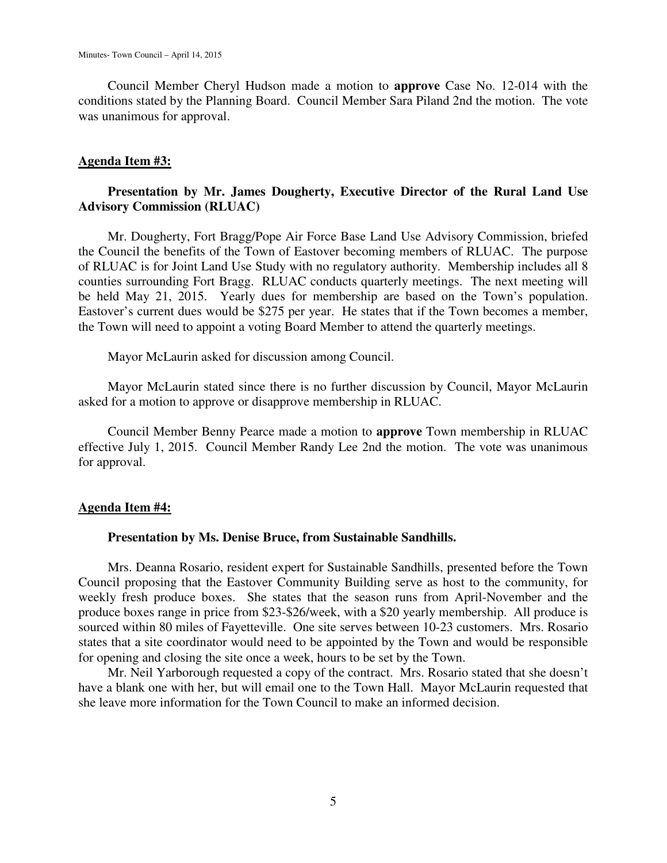Council Member Cheryl Hudson made a motion to **approve** Case No. 12-014 with the conditions stated by the Planning Board. Council Member Sara Piland 2nd the motion. The vote was unanimous for approval.

## **Agenda Item #3:**

# **Presentation by Mr. James Dougherty, Executive Director of the Rural Land Use Advisory Commission (RLUAC)**

 Mr. Dougherty, Fort Bragg/Pope Air Force Base Land Use Advisory Commission, briefed the Council the benefits of the Town of Eastover becoming members of RLUAC. The purpose of RLUAC is for Joint Land Use Study with no regulatory authority. Membership includes all 8 counties surrounding Fort Bragg. RLUAC conducts quarterly meetings. The next meeting will be held May 21, 2015. Yearly dues for membership are based on the Town's population. Eastover's current dues would be \$275 per year. He states that if the Town becomes a member, the Town will need to appoint a voting Board Member to attend the quarterly meetings.

Mayor McLaurin asked for discussion among Council.

 Mayor McLaurin stated since there is no further discussion by Council, Mayor McLaurin asked for a motion to approve or disapprove membership in RLUAC.

 Council Member Benny Pearce made a motion to **approve** Town membership in RLUAC effective July 1, 2015. Council Member Randy Lee 2nd the motion. The vote was unanimous for approval.

### **Agenda Item #4:**

#### **Presentation by Ms. Denise Bruce, from Sustainable Sandhills.**

 Mrs. Deanna Rosario, resident expert for Sustainable Sandhills, presented before the Town Council proposing that the Eastover Community Building serve as host to the community, for weekly fresh produce boxes. She states that the season runs from April-November and the produce boxes range in price from \$23-\$26/week, with a \$20 yearly membership. All produce is sourced within 80 miles of Fayetteville. One site serves between 10-23 customers. Mrs. Rosario states that a site coordinator would need to be appointed by the Town and would be responsible for opening and closing the site once a week, hours to be set by the Town.

 Mr. Neil Yarborough requested a copy of the contract. Mrs. Rosario stated that she doesn't have a blank one with her, but will email one to the Town Hall. Mayor McLaurin requested that she leave more information for the Town Council to make an informed decision.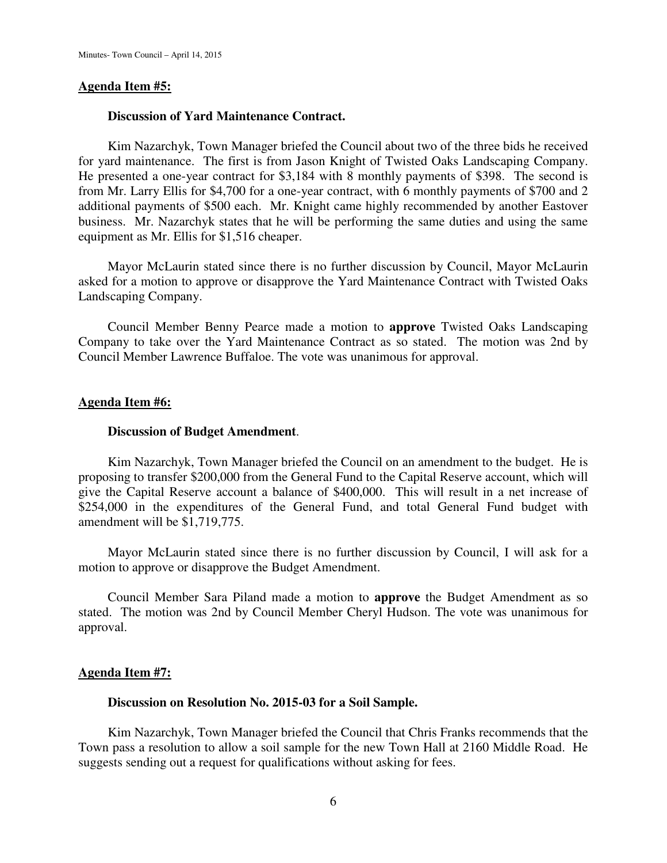### **Agenda Item #5:**

### **Discussion of Yard Maintenance Contract.**

 Kim Nazarchyk, Town Manager briefed the Council about two of the three bids he received for yard maintenance. The first is from Jason Knight of Twisted Oaks Landscaping Company. He presented a one-year contract for \$3,184 with 8 monthly payments of \$398. The second is from Mr. Larry Ellis for \$4,700 for a one-year contract, with 6 monthly payments of \$700 and 2 additional payments of \$500 each. Mr. Knight came highly recommended by another Eastover business. Mr. Nazarchyk states that he will be performing the same duties and using the same equipment as Mr. Ellis for \$1,516 cheaper.

 Mayor McLaurin stated since there is no further discussion by Council, Mayor McLaurin asked for a motion to approve or disapprove the Yard Maintenance Contract with Twisted Oaks Landscaping Company.

 Council Member Benny Pearce made a motion to **approve** Twisted Oaks Landscaping Company to take over the Yard Maintenance Contract as so stated. The motion was 2nd by Council Member Lawrence Buffaloe. The vote was unanimous for approval.

### **Agenda Item #6:**

### **Discussion of Budget Amendment**.

 Kim Nazarchyk, Town Manager briefed the Council on an amendment to the budget. He is proposing to transfer \$200,000 from the General Fund to the Capital Reserve account, which will give the Capital Reserve account a balance of \$400,000. This will result in a net increase of \$254,000 in the expenditures of the General Fund, and total General Fund budget with amendment will be \$1,719,775.

 Mayor McLaurin stated since there is no further discussion by Council, I will ask for a motion to approve or disapprove the Budget Amendment.

 Council Member Sara Piland made a motion to **approve** the Budget Amendment as so stated. The motion was 2nd by Council Member Cheryl Hudson. The vote was unanimous for approval.

### **Agenda Item #7:**

### **Discussion on Resolution No. 2015-03 for a Soil Sample.**

 Kim Nazarchyk, Town Manager briefed the Council that Chris Franks recommends that the Town pass a resolution to allow a soil sample for the new Town Hall at 2160 Middle Road. He suggests sending out a request for qualifications without asking for fees.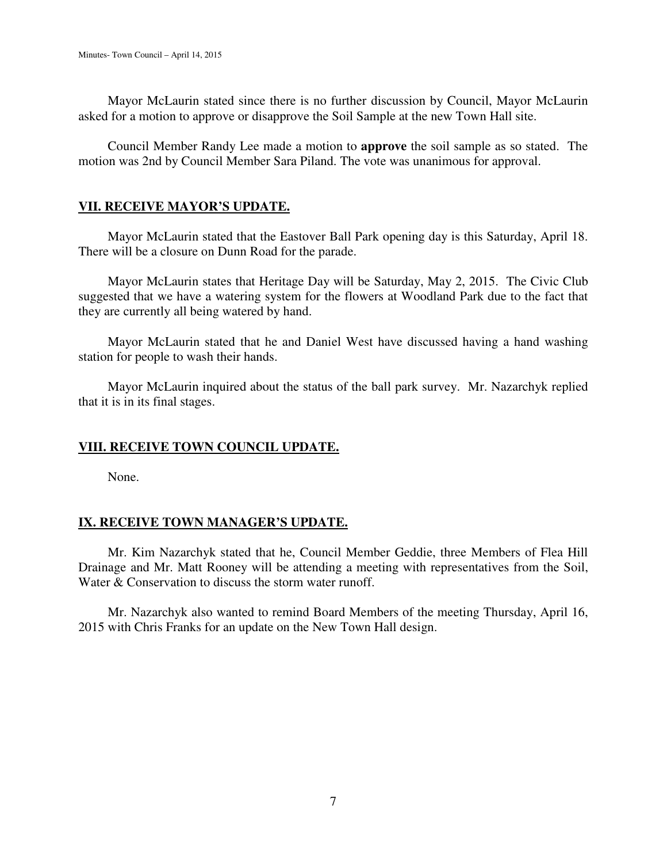Mayor McLaurin stated since there is no further discussion by Council, Mayor McLaurin asked for a motion to approve or disapprove the Soil Sample at the new Town Hall site.

 Council Member Randy Lee made a motion to **approve** the soil sample as so stated. The motion was 2nd by Council Member Sara Piland. The vote was unanimous for approval.

# **VII. RECEIVE MAYOR'S UPDATE.**

 Mayor McLaurin stated that the Eastover Ball Park opening day is this Saturday, April 18. There will be a closure on Dunn Road for the parade.

 Mayor McLaurin states that Heritage Day will be Saturday, May 2, 2015. The Civic Club suggested that we have a watering system for the flowers at Woodland Park due to the fact that they are currently all being watered by hand.

 Mayor McLaurin stated that he and Daniel West have discussed having a hand washing station for people to wash their hands.

 Mayor McLaurin inquired about the status of the ball park survey. Mr. Nazarchyk replied that it is in its final stages.

# **VIII. RECEIVE TOWN COUNCIL UPDATE.**

None.

# **IX. RECEIVE TOWN MANAGER'S UPDATE.**

 Mr. Kim Nazarchyk stated that he, Council Member Geddie, three Members of Flea Hill Drainage and Mr. Matt Rooney will be attending a meeting with representatives from the Soil, Water & Conservation to discuss the storm water runoff.

 Mr. Nazarchyk also wanted to remind Board Members of the meeting Thursday, April 16, 2015 with Chris Franks for an update on the New Town Hall design.